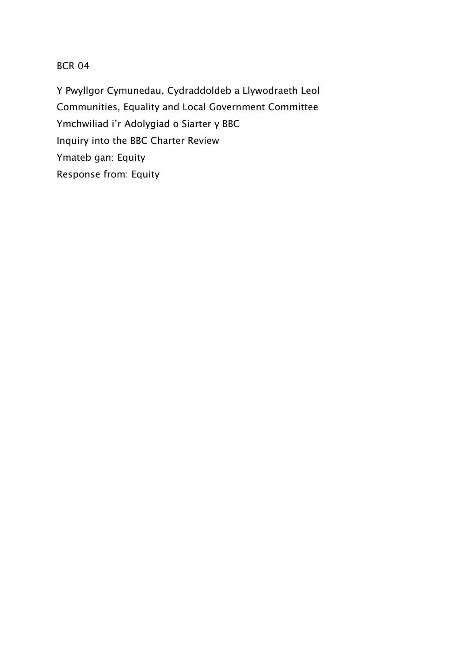# BCR 04

Y Pwyllgor Cymunedau, Cydraddoldeb a Llywodraeth Leol Communities, Equality and Local Government Committee Ymchwiliad i'r Adolygiad o Siarter y BBC Inquiry into the BBC Charter Review Ymateb gan: Equity Response from: Equity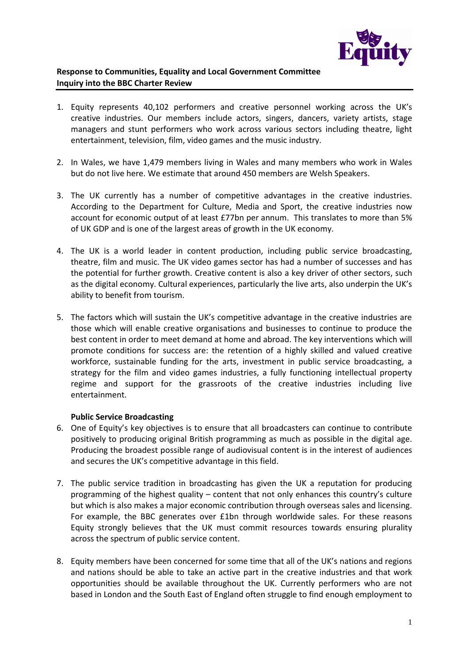

### **Response to Communities, Equality and Local Government Committee Inquiry into the BBC Charter Review**

- 1. Equity represents 40,102 performers and creative personnel working across the UK's creative industries. Our members include actors, singers, dancers, variety artists, stage managers and stunt performers who work across various sectors including theatre, light entertainment, television, film, video games and the music industry.
- 2. In Wales, we have 1,479 members living in Wales and many members who work in Wales but do not live here. We estimate that around 450 members are Welsh Speakers.
- 3. The UK currently has a number of competitive advantages in the creative industries. According to the Department for Culture, Media and Sport, the creative industries now account for economic output of at least £77bn per annum. This translates to more than 5% of UK GDP and is one of the largest areas of growth in the UK economy.
- 4. The UK is a world leader in content production, including public service broadcasting, theatre, film and music. The UK video games sector has had a number of successes and has the potential for further growth. Creative content is also a key driver of other sectors, such as the digital economy. Cultural experiences, particularly the live arts, also underpin the UK's ability to benefit from tourism.
- 5. The factors which will sustain the UK's competitive advantage in the creative industries are those which will enable creative organisations and businesses to continue to produce the best content in order to meet demand at home and abroad. The key interventions which will promote conditions for success are: the retention of a highly skilled and valued creative workforce, sustainable funding for the arts, investment in public service broadcasting, a strategy for the film and video games industries, a fully functioning intellectual property regime and support for the grassroots of the creative industries including live entertainment.

### **Public Service Broadcasting**

- 6. One of Equity's key objectives is to ensure that all broadcasters can continue to contribute positively to producing original British programming as much as possible in the digital age. Producing the broadest possible range of audiovisual content is in the interest of audiences and secures the UK's competitive advantage in this field.
- 7. The public service tradition in broadcasting has given the UK a reputation for producing programming of the highest quality – content that not only enhances this country's culture but which is also makes a major economic contribution through overseas sales and licensing. For example, the BBC generates over £1bn through worldwide sales. For these reasons Equity strongly believes that the UK must commit resources towards ensuring plurality across the spectrum of public service content.
- 8. Equity members have been concerned for some time that all of the UK's nations and regions and nations should be able to take an active part in the creative industries and that work opportunities should be available throughout the UK. Currently performers who are not based in London and the South East of England often struggle to find enough employment to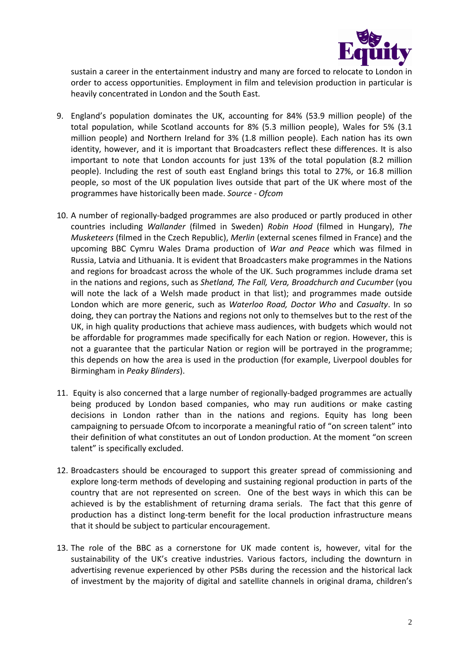

sustain a career in the entertainment industry and many are forced to relocate to London in order to access opportunities. Employment in film and television production in particular is heavily concentrated in London and the South East.

- 9. England's population dominates the UK, accounting for 84% (53.9 million people) of the total population, while Scotland accounts for 8% (5.3 million people), Wales for 5% (3.1 million people) and Northern Ireland for 3% (1.8 million people). Each nation has its own identity, however, and it is important that Broadcasters reflect these differences. It is also important to note that London accounts for just 13% of the total population (8.2 million people). Including the rest of south east England brings this total to 27%, or 16.8 million people, so most of the UK population lives outside that part of the UK where most of the programmes have historically been made. *Source - Ofcom*
- 10. A number of regionally-badged programmes are also produced or partly produced in other countries including *Wallander* (filmed in Sweden) *Robin Hood* (filmed in Hungary), *The Musketeers* (filmed in the Czech Republic), *Merlin* (external scenes filmed in France) and the upcoming BBC Cymru Wales Drama production of *War and Peace* which was filmed in Russia, Latvia and Lithuania. It is evident that Broadcasters make programmes in the Nations and regions for broadcast across the whole of the UK. Such programmes include drama set in the nations and regions, such as *Shetland, The Fall, Vera, Broadchurch and Cucumber* (you will note the lack of a Welsh made product in that list); and programmes made outside London which are more generic, such as *Waterloo Road, Doctor Who* and *Casualty*. In so doing, they can portray the Nations and regions not only to themselves but to the rest of the UK, in high quality productions that achieve mass audiences, with budgets which would not be affordable for programmes made specifically for each Nation or region. However, this is not a guarantee that the particular Nation or region will be portrayed in the programme; this depends on how the area is used in the production (for example, Liverpool doubles for Birmingham in *Peaky Blinders*).
- 11. Equity is also concerned that a large number of regionally-badged programmes are actually being produced by London based companies, who may run auditions or make casting decisions in London rather than in the nations and regions. Equity has long been campaigning to persuade Ofcom to incorporate a meaningful ratio of "on screen talent" into their definition of what constitutes an out of London production. At the moment "on screen talent" is specifically excluded.
- 12. Broadcasters should be encouraged to support this greater spread of commissioning and explore long-term methods of developing and sustaining regional production in parts of the country that are not represented on screen. One of the best ways in which this can be achieved is by the establishment of returning drama serials. The fact that this genre of production has a distinct long-term benefit for the local production infrastructure means that it should be subject to particular encouragement.
- 13. The role of the BBC as a cornerstone for UK made content is, however, vital for the sustainability of the UK's creative industries. Various factors, including the downturn in advertising revenue experienced by other PSBs during the recession and the historical lack of investment by the majority of digital and satellite channels in original drama, children's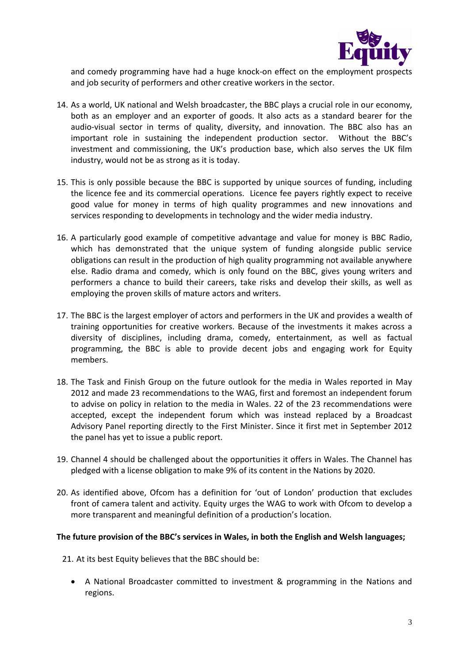

and comedy programming have had a huge knock-on effect on the employment prospects and job security of performers and other creative workers in the sector.

- 14. As a world, UK national and Welsh broadcaster, the BBC plays a crucial role in our economy, both as an employer and an exporter of goods. It also acts as a standard bearer for the audio-visual sector in terms of quality, diversity, and innovation. The BBC also has an important role in sustaining the independent production sector. Without the BBC's investment and commissioning, the UK's production base, which also serves the UK film industry, would not be as strong as it is today.
- 15. This is only possible because the BBC is supported by unique sources of funding, including the licence fee and its commercial operations. Licence fee payers rightly expect to receive good value for money in terms of high quality programmes and new innovations and services responding to developments in technology and the wider media industry.
- 16. A particularly good example of competitive advantage and value for money is BBC Radio, which has demonstrated that the unique system of funding alongside public service obligations can result in the production of high quality programming not available anywhere else. Radio drama and comedy, which is only found on the BBC, gives young writers and performers a chance to build their careers, take risks and develop their skills, as well as employing the proven skills of mature actors and writers.
- 17. The BBC is the largest employer of actors and performers in the UK and provides a wealth of training opportunities for creative workers. Because of the investments it makes across a diversity of disciplines, including drama, comedy, entertainment, as well as factual programming, the BBC is able to provide decent jobs and engaging work for Equity members.
- 18. The Task and Finish Group on the future outlook for the media in Wales reported in May 2012 and made 23 recommendations to the WAG, first and foremost an independent forum to advise on policy in relation to the media in Wales. 22 of the 23 recommendations were accepted, except the independent forum which was instead replaced by a Broadcast Advisory Panel reporting directly to the First Minister. Since it first met in September 2012 the panel has yet to issue a public report.
- 19. Channel 4 should be challenged about the opportunities it offers in Wales. The Channel has pledged with a license obligation to make 9% of its content in the Nations by 2020.
- 20. As identified above, Ofcom has a definition for 'out of London' production that excludes front of camera talent and activity. Equity urges the WAG to work with Ofcom to develop a more transparent and meaningful definition of a production's location.

#### **The future provision of the BBC's services in Wales, in both the English and Welsh languages;**

- 21. At its best Equity believes that the BBC should be:
	- A National Broadcaster committed to investment & programming in the Nations and regions.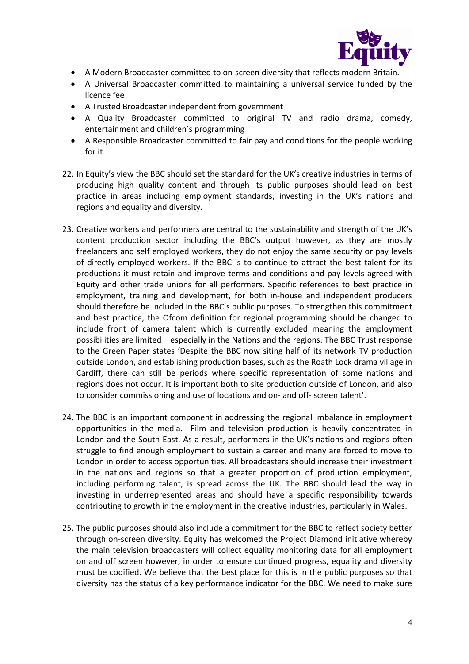

- A Modern Broadcaster committed to on-screen diversity that reflects modern Britain.
- A Universal Broadcaster committed to maintaining a universal service funded by the licence fee
- A Trusted Broadcaster independent from government
- A Quality Broadcaster committed to original TV and radio drama, comedy, entertainment and children's programming
- A Responsible Broadcaster committed to fair pay and conditions for the people working for it.
- 22. In Equity's view the BBC should set the standard for the UK's creative industries in terms of producing high quality content and through its public purposes should lead on best practice in areas including employment standards, investing in the UK's nations and regions and equality and diversity.
- 23. Creative workers and performers are central to the sustainability and strength of the UK's content production sector including the BBC's output however, as they are mostly freelancers and self employed workers, they do not enjoy the same security or pay levels of directly employed workers. If the BBC is to continue to attract the best talent for its productions it must retain and improve terms and conditions and pay levels agreed with Equity and other trade unions for all performers. Specific references to best practice in employment, training and development, for both in-house and independent producers should therefore be included in the BBC's public purposes. To strengthen this commitment and best practice, the Ofcom definition for regional programming should be changed to include front of camera talent which is currently excluded meaning the employment possibilities are limited – especially in the Nations and the regions. The BBC Trust response to the Green Paper states 'Despite the BBC now siting half of its network TV production outside London, and establishing production bases, such as the Roath Lock drama village in Cardiff, there can still be periods where specific representation of some nations and regions does not occur. It is important both to site production outside of London, and also to consider commissioning and use of locations and on- and off- screen talent'.
- 24. The BBC is an important component in addressing the regional imbalance in employment opportunities in the media. Film and television production is heavily concentrated in London and the South East. As a result, performers in the UK's nations and regions often struggle to find enough employment to sustain a career and many are forced to move to London in order to access opportunities. All broadcasters should increase their investment in the nations and regions so that a greater proportion of production employment, including performing talent, is spread across the UK. The BBC should lead the way in investing in underrepresented areas and should have a specific responsibility towards contributing to growth in the employment in the creative industries, particularly in Wales.
- 25. The public purposes should also include a commitment for the BBC to reflect society better through on-screen diversity. Equity has welcomed the Project Diamond initiative whereby the main television broadcasters will collect equality monitoring data for all employment on and off screen however, in order to ensure continued progress, equality and diversity must be codified. We believe that the best place for this is in the public purposes so that diversity has the status of a key performance indicator for the BBC. We need to make sure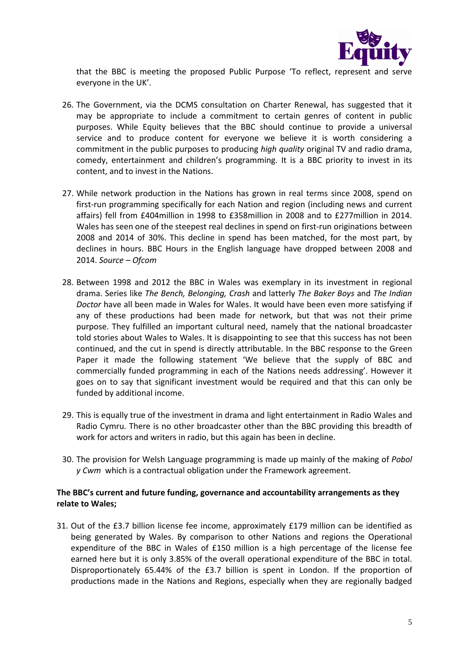

that the BBC is meeting the proposed Public Purpose 'To reflect, represent and serve everyone in the UK'.

- 26. The Government, via the DCMS consultation on Charter Renewal, has suggested that it may be appropriate to include a commitment to certain genres of content in public purposes. While Equity believes that the BBC should continue to provide a universal service and to produce content for everyone we believe it is worth considering a commitment in the public purposes to producing *high quality* original TV and radio drama, comedy, entertainment and children's programming. It is a BBC priority to invest in its content, and to invest in the Nations.
- 27. While network production in the Nations has grown in real terms since 2008, spend on first-run programming specifically for each Nation and region (including news and current affairs) fell from £404million in 1998 to £358million in 2008 and to £277million in 2014. Wales has seen one of the steepest real declines in spend on first-run originations between 2008 and 2014 of 30%. This decline in spend has been matched, for the most part, by declines in hours. BBC Hours in the English language have dropped between 2008 and 2014. *Source – Ofcom*
- 28. Between 1998 and 2012 the BBC in Wales was exemplary in its investment in regional drama. Series like *The Bench, Belonging, Crash* and latterly *The Baker Boys* and *The Indian Doctor* have all been made in Wales for Wales. It would have been even more satisfying if any of these productions had been made for network, but that was not their prime purpose. They fulfilled an important cultural need, namely that the national broadcaster told stories about Wales to Wales. It is disappointing to see that this success has not been continued, and the cut in spend is directly attributable. In the BBC response to the Green Paper it made the following statement 'We believe that the supply of BBC and commercially funded programming in each of the Nations needs addressing'. However it goes on to say that significant investment would be required and that this can only be funded by additional income.
- 29. This is equally true of the investment in drama and light entertainment in Radio Wales and Radio Cymru. There is no other broadcaster other than the BBC providing this breadth of work for actors and writers in radio, but this again has been in decline.
- 30. The provision for Welsh Language programming is made up mainly of the making of *Pobol y Cwm* which is a contractual obligation under the Framework agreement.

### **The BBC's current and future funding, governance and accountability arrangements as they relate to Wales;**

31. Out of the £3.7 billion license fee income, approximately £179 million can be identified as being generated by Wales. By comparison to other Nations and regions the Operational expenditure of the BBC in Wales of £150 million is a high percentage of the license fee earned here but it is only 3.85% of the overall operational expenditure of the BBC in total. Disproportionately 65.44% of the £3.7 billion is spent in London. If the proportion of productions made in the Nations and Regions, especially when they are regionally badged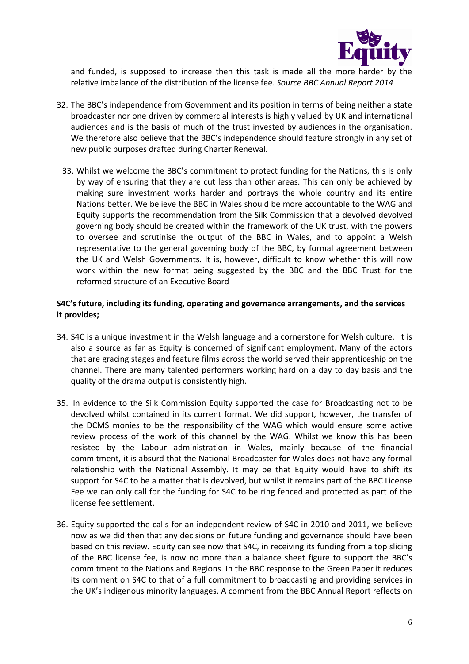

and funded, is supposed to increase then this task is made all the more harder by the relative imbalance of the distribution of the license fee. *Source BBC Annual Report 2014*

- 32. The BBC's independence from Government and its position in terms of being neither a state broadcaster nor one driven by commercial interests is highly valued by UK and international audiences and is the basis of much of the trust invested by audiences in the organisation. We therefore also believe that the BBC's independence should feature strongly in any set of new public purposes drafted during Charter Renewal.
	- 33. Whilst we welcome the BBC's commitment to protect funding for the Nations, this is only by way of ensuring that they are cut less than other areas. This can only be achieved by making sure investment works harder and portrays the whole country and its entire Nations better. We believe the BBC in Wales should be more accountable to the WAG and Equity supports the recommendation from the Silk Commission that a devolved devolved governing body should be created within the framework of the UK trust, with the powers to oversee and scrutinise the output of the BBC in Wales, and to appoint a Welsh representative to the general governing body of the BBC, by formal agreement between the UK and Welsh Governments. It is, however, difficult to know whether this will now work within the new format being suggested by the BBC and the BBC Trust for the reformed structure of an Executive Board

#### **S4C's future, including its funding, operating and governance arrangements, and the services it provides;**

- 34. S4C is a unique investment in the Welsh language and a cornerstone for Welsh culture. It is also a source as far as Equity is concerned of significant employment. Many of the actors that are gracing stages and feature films across the world served their apprenticeship on the channel. There are many talented performers working hard on a day to day basis and the quality of the drama output is consistently high.
- 35. In evidence to the Silk Commission Equity supported the case for Broadcasting not to be devolved whilst contained in its current format. We did support, however, the transfer of the DCMS monies to be the responsibility of the WAG which would ensure some active review process of the work of this channel by the WAG. Whilst we know this has been resisted by the Labour administration in Wales, mainly because of the financial commitment, it is absurd that the National Broadcaster for Wales does not have any formal relationship with the National Assembly. It may be that Equity would have to shift its support for S4C to be a matter that is devolved, but whilst it remains part of the BBC License Fee we can only call for the funding for S4C to be ring fenced and protected as part of the license fee settlement.
- 36. Equity supported the calls for an independent review of S4C in 2010 and 2011, we believe now as we did then that any decisions on future funding and governance should have been based on this review. Equity can see now that S4C, in receiving its funding from a top slicing of the BBC license fee, is now no more than a balance sheet figure to support the BBC's commitment to the Nations and Regions. In the BBC response to the Green Paper it reduces its comment on S4C to that of a full commitment to broadcasting and providing services in the UK's indigenous minority languages. A comment from the BBC Annual Report reflects on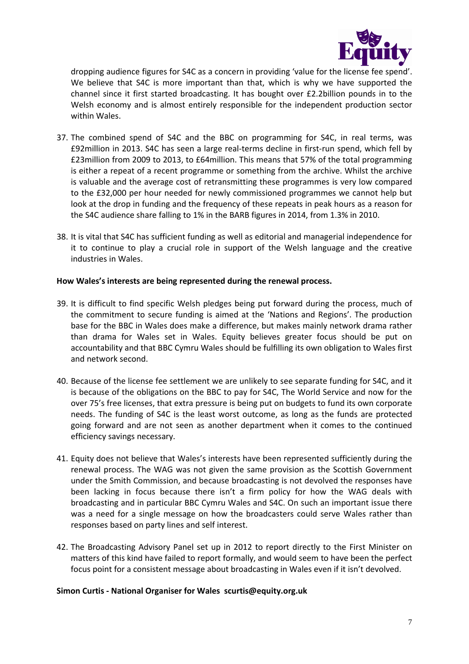

dropping audience figures for S4C as a concern in providing 'value for the license fee spend'. We believe that S4C is more important than that, which is why we have supported the channel since it first started broadcasting. It has bought over £2.2billion pounds in to the Welsh economy and is almost entirely responsible for the independent production sector within Wales.

- 37. The combined spend of S4C and the BBC on programming for S4C, in real terms, was £92million in 2013. S4C has seen a large real-terms decline in first-run spend, which fell by £23million from 2009 to 2013, to £64million. This means that 57% of the total programming is either a repeat of a recent programme or something from the archive. Whilst the archive is valuable and the average cost of retransmitting these programmes is very low compared to the £32,000 per hour needed for newly commissioned programmes we cannot help but look at the drop in funding and the frequency of these repeats in peak hours as a reason for the S4C audience share falling to 1% in the BARB figures in 2014, from 1.3% in 2010.
- 38. It is vital that S4C has sufficient funding as well as editorial and managerial independence for it to continue to play a crucial role in support of the Welsh language and the creative industries in Wales.

#### **How Wales's interests are being represented during the renewal process.**

- 39. It is difficult to find specific Welsh pledges being put forward during the process, much of the commitment to secure funding is aimed at the 'Nations and Regions'. The production base for the BBC in Wales does make a difference, but makes mainly network drama rather than drama for Wales set in Wales. Equity believes greater focus should be put on accountability and that BBC Cymru Wales should be fulfilling its own obligation to Wales first and network second.
- 40. Because of the license fee settlement we are unlikely to see separate funding for S4C, and it is because of the obligations on the BBC to pay for S4C, The World Service and now for the over 75's free licenses, that extra pressure is being put on budgets to fund its own corporate needs. The funding of S4C is the least worst outcome, as long as the funds are protected going forward and are not seen as another department when it comes to the continued efficiency savings necessary.
- 41. Equity does not believe that Wales's interests have been represented sufficiently during the renewal process. The WAG was not given the same provision as the Scottish Government under the Smith Commission, and because broadcasting is not devolved the responses have been lacking in focus because there isn't a firm policy for how the WAG deals with broadcasting and in particular BBC Cymru Wales and S4C. On such an important issue there was a need for a single message on how the broadcasters could serve Wales rather than responses based on party lines and self interest.
- 42. The Broadcasting Advisory Panel set up in 2012 to report directly to the First Minister on matters of this kind have failed to report formally, and would seem to have been the perfect focus point for a consistent message about broadcasting in Wales even if it isn't devolved.

### **Simon Curtis - National Organiser for Wales scurtis@equity.org.uk**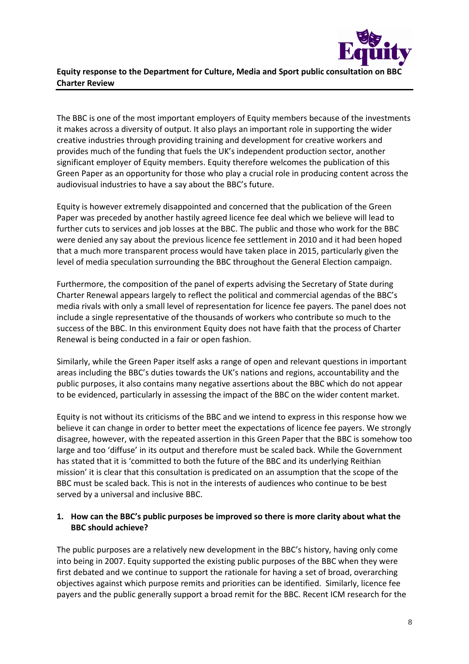

## **Equity response to the Department for Culture, Media and Sport public consultation on BBC Charter Review**

The BBC is one of the most important employers of Equity members because of the investments it makes across a diversity of output. It also plays an important role in supporting the wider creative industries through providing training and development for creative workers and provides much of the funding that fuels the UK's independent production sector, another significant employer of Equity members. Equity therefore welcomes the publication of this Green Paper as an opportunity for those who play a crucial role in producing content across the audiovisual industries to have a say about the BBC's future.

Equity is however extremely disappointed and concerned that the publication of the Green Paper was preceded by another hastily agreed licence fee deal which we believe will lead to further cuts to services and job losses at the BBC. The public and those who work for the BBC were denied any say about the previous licence fee settlement in 2010 and it had been hoped that a much more transparent process would have taken place in 2015, particularly given the level of media speculation surrounding the BBC throughout the General Election campaign.

Furthermore, the composition of the panel of experts advising the Secretary of State during Charter Renewal appears largely to reflect the political and commercial agendas of the BBC's media rivals with only a small level of representation for licence fee payers. The panel does not include a single representative of the thousands of workers who contribute so much to the success of the BBC. In this environment Equity does not have faith that the process of Charter Renewal is being conducted in a fair or open fashion.

Similarly, while the Green Paper itself asks a range of open and relevant questions in important areas including the BBC's duties towards the UK's nations and regions, accountability and the public purposes, it also contains many negative assertions about the BBC which do not appear to be evidenced, particularly in assessing the impact of the BBC on the wider content market.

Equity is not without its criticisms of the BBC and we intend to express in this response how we believe it can change in order to better meet the expectations of licence fee payers. We strongly disagree, however, with the repeated assertion in this Green Paper that the BBC is somehow too large and too 'diffuse' in its output and therefore must be scaled back. While the Government has stated that it is 'committed to both the future of the BBC and its underlying Reithian mission' it is clear that this consultation is predicated on an assumption that the scope of the BBC must be scaled back. This is not in the interests of audiences who continue to be best served by a universal and inclusive BBC.

### **1. How can the BBC's public purposes be improved so there is more clarity about what the BBC should achieve?**

The public purposes are a relatively new development in the BBC's history, having only come into being in 2007. Equity supported the existing public purposes of the BBC when they were first debated and we continue to support the rationale for having a set of broad, overarching objectives against which purpose remits and priorities can be identified. Similarly, licence fee payers and the public generally support a broad remit for the BBC. Recent ICM research for the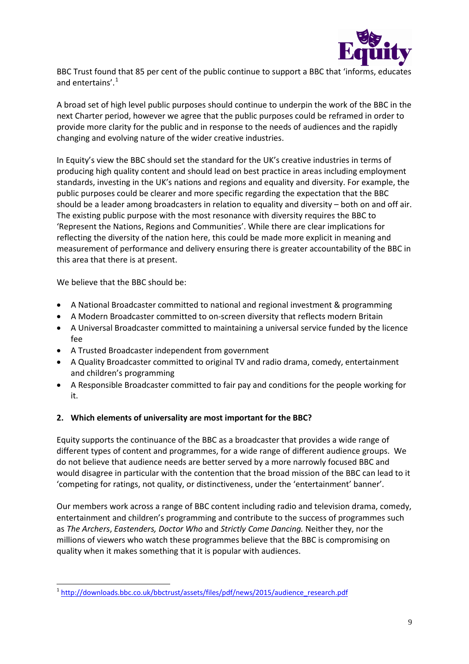

BBC Trust found that 85 per cent of the public continue to support a BBC that 'informs, educates and entertains'.<sup>[1](#page-9-0)</sup>

A broad set of high level public purposes should continue to underpin the work of the BBC in the next Charter period, however we agree that the public purposes could be reframed in order to provide more clarity for the public and in response to the needs of audiences and the rapidly changing and evolving nature of the wider creative industries.

In Equity's view the BBC should set the standard for the UK's creative industries in terms of producing high quality content and should lead on best practice in areas including employment standards, investing in the UK's nations and regions and equality and diversity. For example, the public purposes could be clearer and more specific regarding the expectation that the BBC should be a leader among broadcasters in relation to equality and diversity – both on and off air. The existing public purpose with the most resonance with diversity requires the BBC to 'Represent the Nations, Regions and Communities'. While there are clear implications for reflecting the diversity of the nation here, this could be made more explicit in meaning and measurement of performance and delivery ensuring there is greater accountability of the BBC in this area that there is at present.

We believe that the BBC should be:

- A National Broadcaster committed to national and regional investment & programming
- A Modern Broadcaster committed to on-screen diversity that reflects modern Britain
- A Universal Broadcaster committed to maintaining a universal service funded by the licence fee
- A Trusted Broadcaster independent from government
- A Quality Broadcaster committed to original TV and radio drama, comedy, entertainment and children's programming
- A Responsible Broadcaster committed to fair pay and conditions for the people working for it.

### **2. Which elements of universality are most important for the BBC?**

Equity supports the continuance of the BBC as a broadcaster that provides a wide range of different types of content and programmes, for a wide range of different audience groups. We do not believe that audience needs are better served by a more narrowly focused BBC and would disagree in particular with the contention that the broad mission of the BBC can lead to it 'competing for ratings, not quality, or distinctiveness, under the 'entertainment' banner'.

Our members work across a range of BBC content including radio and television drama, comedy, entertainment and children's programming and contribute to the success of programmes such as *The Archers*, *Eastenders, Doctor Who* and *Strictly Come Dancing.* Neither they, nor the millions of viewers who watch these programmes believe that the BBC is compromising on quality when it makes something that it is popular with audiences.

<span id="page-9-0"></span><sup>&</sup>lt;sup>1</sup> [http://downloads.bbc.co.uk/bbctrust/assets/files/pdf/news/2015/audience\\_research.pdf](http://downloads.bbc.co.uk/bbctrust/assets/files/pdf/news/2015/audience_research.pdf)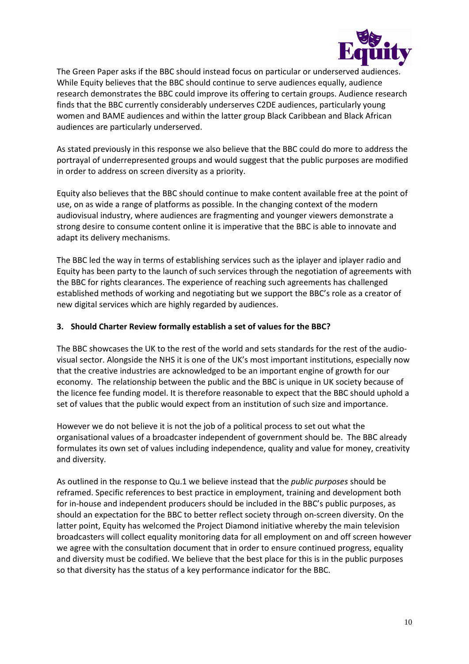

The Green Paper asks if the BBC should instead focus on particular or underserved audiences. While Equity believes that the BBC should continue to serve audiences equally, audience research demonstrates the BBC could improve its offering to certain groups. Audience research finds that the BBC currently considerably underserves C2DE audiences, particularly young women and BAME audiences and within the latter group Black Caribbean and Black African audiences are particularly underserved.

As stated previously in this response we also believe that the BBC could do more to address the portrayal of underrepresented groups and would suggest that the public purposes are modified in order to address on screen diversity as a priority.

Equity also believes that the BBC should continue to make content available free at the point of use, on as wide a range of platforms as possible. In the changing context of the modern audiovisual industry, where audiences are fragmenting and younger viewers demonstrate a strong desire to consume content online it is imperative that the BBC is able to innovate and adapt its delivery mechanisms.

The BBC led the way in terms of establishing services such as the iplayer and iplayer radio and Equity has been party to the launch of such services through the negotiation of agreements with the BBC for rights clearances. The experience of reaching such agreements has challenged established methods of working and negotiating but we support the BBC's role as a creator of new digital services which are highly regarded by audiences.

### **3. Should Charter Review formally establish a set of values for the BBC?**

The BBC showcases the UK to the rest of the world and sets standards for the rest of the audiovisual sector. Alongside the NHS it is one of the UK's most important institutions, especially now that the creative industries are acknowledged to be an important engine of growth for our economy. The relationship between the public and the BBC is unique in UK society because of the licence fee funding model. It is therefore reasonable to expect that the BBC should uphold a set of values that the public would expect from an institution of such size and importance.

However we do not believe it is not the job of a political process to set out what the organisational values of a broadcaster independent of government should be. The BBC already formulates its own set of values including independence, quality and value for money, creativity and diversity.

As outlined in the response to Qu.1 we believe instead that the *public purposes* should be reframed. Specific references to best practice in employment, training and development both for in-house and independent producers should be included in the BBC's public purposes, as should an expectation for the BBC to better reflect society through on-screen diversity. On the latter point, Equity has welcomed the Project Diamond initiative whereby the main television broadcasters will collect equality monitoring data for all employment on and off screen however we agree with the consultation document that in order to ensure continued progress, equality and diversity must be codified. We believe that the best place for this is in the public purposes so that diversity has the status of a key performance indicator for the BBC.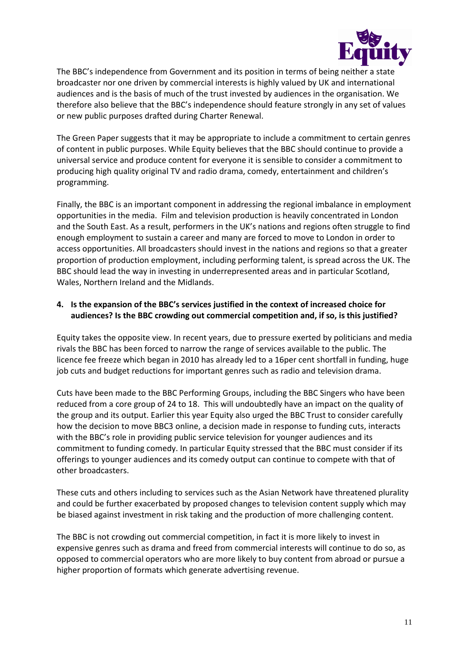

The BBC's independence from Government and its position in terms of being neither a state broadcaster nor one driven by commercial interests is highly valued by UK and international audiences and is the basis of much of the trust invested by audiences in the organisation. We therefore also believe that the BBC's independence should feature strongly in any set of values or new public purposes drafted during Charter Renewal.

The Green Paper suggests that it may be appropriate to include a commitment to certain genres of content in public purposes. While Equity believes that the BBC should continue to provide a universal service and produce content for everyone it is sensible to consider a commitment to producing high quality original TV and radio drama, comedy, entertainment and children's programming.

Finally, the BBC is an important component in addressing the regional imbalance in employment opportunities in the media. Film and television production is heavily concentrated in London and the South East. As a result, performers in the UK's nations and regions often struggle to find enough employment to sustain a career and many are forced to move to London in order to access opportunities. All broadcasters should invest in the nations and regions so that a greater proportion of production employment, including performing talent, is spread across the UK. The BBC should lead the way in investing in underrepresented areas and in particular Scotland, Wales, Northern Ireland and the Midlands.

### **4. Is the expansion of the BBC's services justified in the context of increased choice for audiences? Is the BBC crowding out commercial competition and, if so, is this justified?**

Equity takes the opposite view. In recent years, due to pressure exerted by politicians and media rivals the BBC has been forced to narrow the range of services available to the public. The licence fee freeze which began in 2010 has already led to a 16per cent shortfall in funding, huge job cuts and budget reductions for important genres such as radio and television drama.

Cuts have been made to the BBC Performing Groups, including the BBC Singers who have been reduced from a core group of 24 to 18. This will undoubtedly have an impact on the quality of the group and its output. Earlier this year Equity also urged the BBC Trust to consider carefully how the decision to move BBC3 online, a decision made in response to funding cuts, interacts with the BBC's role in providing public service television for younger audiences and its commitment to funding comedy. In particular Equity stressed that the BBC must consider if its offerings to younger audiences and its comedy output can continue to compete with that of other broadcasters.

These cuts and others including to services such as the Asian Network have threatened plurality and could be further exacerbated by proposed changes to television content supply which may be biased against investment in risk taking and the production of more challenging content.

The BBC is not crowding out commercial competition, in fact it is more likely to invest in expensive genres such as drama and freed from commercial interests will continue to do so, as opposed to commercial operators who are more likely to buy content from abroad or pursue a higher proportion of formats which generate advertising revenue.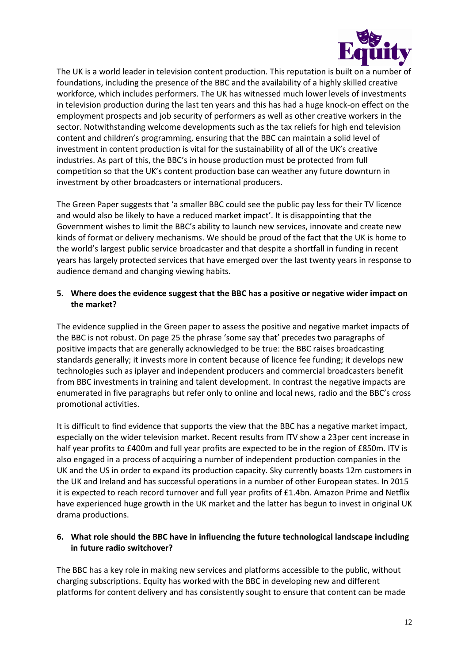

The UK is a world leader in television content production. This reputation is built on a number of foundations, including the presence of the BBC and the availability of a highly skilled creative workforce, which includes performers. The UK has witnessed much lower levels of investments in television production during the last ten years and this has had a huge knock-on effect on the employment prospects and job security of performers as well as other creative workers in the sector. Notwithstanding welcome developments such as the tax reliefs for high end television content and children's programming, ensuring that the BBC can maintain a solid level of investment in content production is vital for the sustainability of all of the UK's creative industries. As part of this, the BBC's in house production must be protected from full competition so that the UK's content production base can weather any future downturn in investment by other broadcasters or international producers.

The Green Paper suggests that 'a smaller BBC could see the public pay less for their TV licence and would also be likely to have a reduced market impact'. It is disappointing that the Government wishes to limit the BBC's ability to launch new services, innovate and create new kinds of format or delivery mechanisms. We should be proud of the fact that the UK is home to the world's largest public service broadcaster and that despite a shortfall in funding in recent years has largely protected services that have emerged over the last twenty years in response to audience demand and changing viewing habits.

### **5. Where does the evidence suggest that the BBC has a positive or negative wider impact on the market?**

The evidence supplied in the Green paper to assess the positive and negative market impacts of the BBC is not robust. On page 25 the phrase 'some say that' precedes two paragraphs of positive impacts that are generally acknowledged to be true: the BBC raises broadcasting standards generally; it invests more in content because of licence fee funding; it develops new technologies such as iplayer and independent producers and commercial broadcasters benefit from BBC investments in training and talent development. In contrast the negative impacts are enumerated in five paragraphs but refer only to online and local news, radio and the BBC's cross promotional activities.

It is difficult to find evidence that supports the view that the BBC has a negative market impact, especially on the wider television market. Recent results from ITV show a 23per cent increase in half year profits to £400m and full year profits are expected to be in the region of £850m. ITV is also engaged in a process of acquiring a number of independent production companies in the UK and the US in order to expand its production capacity. Sky currently boasts 12m customers in the UK and Ireland and has successful operations in a number of other European states. In 2015 it is expected to reach record turnover and full year profits of £1.4bn. Amazon Prime and Netflix have experienced huge growth in the UK market and the latter has begun to invest in original UK drama productions.

## **6. What role should the BBC have in influencing the future technological landscape including in future radio switchover?**

The BBC has a key role in making new services and platforms accessible to the public, without charging subscriptions. Equity has worked with the BBC in developing new and different platforms for content delivery and has consistently sought to ensure that content can be made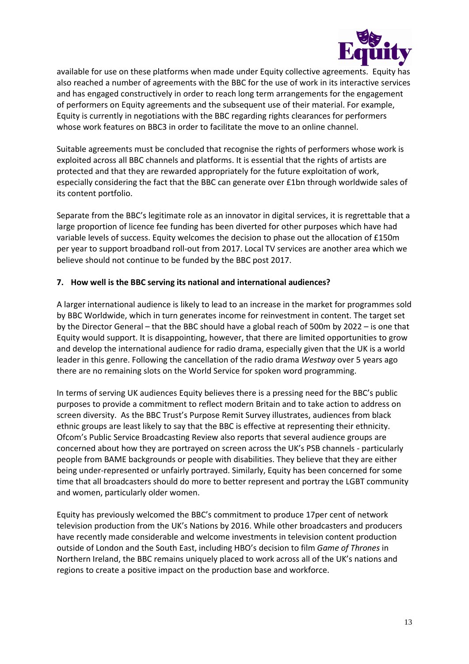

available for use on these platforms when made under Equity collective agreements. Equity has also reached a number of agreements with the BBC for the use of work in its interactive services and has engaged constructively in order to reach long term arrangements for the engagement of performers on Equity agreements and the subsequent use of their material. For example, Equity is currently in negotiations with the BBC regarding rights clearances for performers whose work features on BBC3 in order to facilitate the move to an online channel.

Suitable agreements must be concluded that recognise the rights of performers whose work is exploited across all BBC channels and platforms. It is essential that the rights of artists are protected and that they are rewarded appropriately for the future exploitation of work, especially considering the fact that the BBC can generate over £1bn through worldwide sales of its content portfolio.

Separate from the BBC's legitimate role as an innovator in digital services, it is regrettable that a large proportion of licence fee funding has been diverted for other purposes which have had variable levels of success. Equity welcomes the decision to phase out the allocation of £150m per year to support broadband roll-out from 2017. Local TV services are another area which we believe should not continue to be funded by the BBC post 2017.

### **7. How well is the BBC serving its national and international audiences?**

A larger international audience is likely to lead to an increase in the market for programmes sold by BBC Worldwide, which in turn generates income for reinvestment in content. The target set by the Director General – that the BBC should have a global reach of 500m by 2022 – is one that Equity would support. It is disappointing, however, that there are limited opportunities to grow and develop the international audience for radio drama, especially given that the UK is a world leader in this genre. Following the cancellation of the radio drama *Westway* over 5 years ago there are no remaining slots on the World Service for spoken word programming.

In terms of serving UK audiences Equity believes there is a pressing need for the BBC's public purposes to provide a commitment to reflect modern Britain and to take action to address on screen diversity. As the BBC Trust's Purpose Remit Survey illustrates, audiences from black ethnic groups are least likely to say that the BBC is effective at representing their ethnicity. Ofcom's Public Service Broadcasting Review also reports that several audience groups are concerned about how they are portrayed on screen across the UK's PSB channels - particularly people from BAME backgrounds or people with disabilities. They believe that they are either being under-represented or unfairly portrayed. Similarly, Equity has been concerned for some time that all broadcasters should do more to better represent and portray the LGBT community and women, particularly older women.

Equity has previously welcomed the BBC's commitment to produce 17per cent of network television production from the UK's Nations by 2016. While other broadcasters and producers have recently made considerable and welcome investments in television content production outside of London and the South East, including HBO's decision to film *Game of Thrones* in Northern Ireland, the BBC remains uniquely placed to work across all of the UK's nations and regions to create a positive impact on the production base and workforce.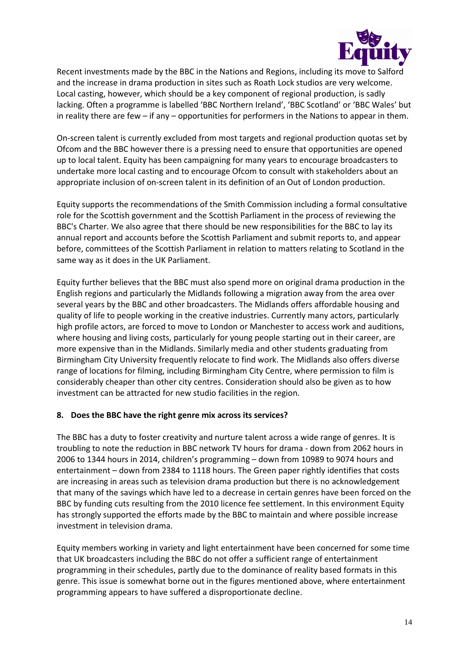

Recent investments made by the BBC in the Nations and Regions, including its move to Salford and the increase in drama production in sites such as Roath Lock studios are very welcome. Local casting, however, which should be a key component of regional production, is sadly lacking. Often a programme is labelled 'BBC Northern Ireland', 'BBC Scotland' or 'BBC Wales' but in reality there are few – if any – opportunities for performers in the Nations to appear in them.

On-screen talent is currently excluded from most targets and regional production quotas set by Ofcom and the BBC however there is a pressing need to ensure that opportunities are opened up to local talent. Equity has been campaigning for many years to encourage broadcasters to undertake more local casting and to encourage Ofcom to consult with stakeholders about an appropriate inclusion of on-screen talent in its definition of an Out of London production.

Equity supports the recommendations of the Smith Commission including a formal consultative role for the Scottish government and the Scottish Parliament in the process of reviewing the BBC's Charter. We also agree that there should be new responsibilities for the BBC to lay its annual report and accounts before the Scottish Parliament and submit reports to, and appear before, committees of the Scottish Parliament in relation to matters relating to Scotland in the same way as it does in the UK Parliament.

Equity further believes that the BBC must also spend more on original drama production in the English regions and particularly the Midlands following a migration away from the area over several years by the BBC and other broadcasters. The Midlands offers affordable housing and quality of life to people working in the creative industries. Currently many actors, particularly high profile actors, are forced to move to London or Manchester to access work and auditions, where housing and living costs, particularly for young people starting out in their career, are more expensive than in the Midlands. Similarly media and other students graduating from Birmingham City University frequently relocate to find work. The Midlands also offers diverse range of locations for filming, including Birmingham City Centre, where permission to film is considerably cheaper than other city centres. Consideration should also be given as to how investment can be attracted for new studio facilities in the region.

### **8. Does the BBC have the right genre mix across its services?**

The BBC has a duty to foster creativity and nurture talent across a wide range of genres. It is troubling to note the reduction in BBC network TV hours for drama - down from 2062 hours in 2006 to 1344 hours in 2014, children's programming – down from 10989 to 9074 hours and entertainment – down from 2384 to 1118 hours. The Green paper rightly identifies that costs are increasing in areas such as television drama production but there is no acknowledgement that many of the savings which have led to a decrease in certain genres have been forced on the BBC by funding cuts resulting from the 2010 licence fee settlement. In this environment Equity has strongly supported the efforts made by the BBC to maintain and where possible increase investment in television drama.

Equity members working in variety and light entertainment have been concerned for some time that UK broadcasters including the BBC do not offer a sufficient range of entertainment programming in their schedules, partly due to the dominance of reality based formats in this genre. This issue is somewhat borne out in the figures mentioned above, where entertainment programming appears to have suffered a disproportionate decline.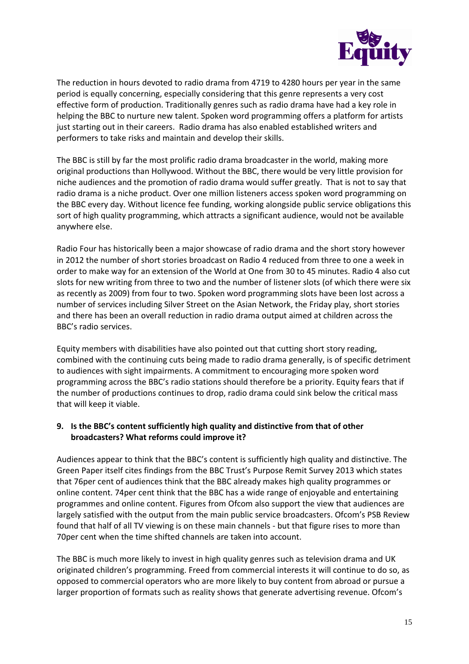

The reduction in hours devoted to radio drama from 4719 to 4280 hours per year in the same period is equally concerning, especially considering that this genre represents a very cost effective form of production. Traditionally genres such as radio drama have had a key role in helping the BBC to nurture new talent. Spoken word programming offers a platform for artists just starting out in their careers. Radio drama has also enabled established writers and performers to take risks and maintain and develop their skills.

The BBC is still by far the most prolific radio drama broadcaster in the world, making more original productions than Hollywood. Without the BBC, there would be very little provision for niche audiences and the promotion of radio drama would suffer greatly. That is not to say that radio drama is a niche product. Over one million listeners access spoken word programming on the BBC every day. Without licence fee funding, working alongside public service obligations this sort of high quality programming, which attracts a significant audience, would not be available anywhere else.

Radio Four has historically been a major showcase of radio drama and the short story however in 2012 the number of short stories broadcast on Radio 4 reduced from three to one a week in order to make way for an extension of the World at One from 30 to 45 minutes. Radio 4 also cut slots for new writing from three to two and the number of listener slots (of which there were six as recently as 2009) from four to two. Spoken word programming slots have been lost across a number of services including Silver Street on the Asian Network, the Friday play, short stories and there has been an overall reduction in radio drama output aimed at children across the BBC's radio services.

Equity members with disabilities have also pointed out that cutting short story reading, combined with the continuing cuts being made to radio drama generally, is of specific detriment to audiences with sight impairments. A commitment to encouraging more spoken word programming across the BBC's radio stations should therefore be a priority. Equity fears that if the number of productions continues to drop, radio drama could sink below the critical mass that will keep it viable.

### **9. Is the BBC's content sufficiently high quality and distinctive from that of other broadcasters? What reforms could improve it?**

Audiences appear to think that the BBC's content is sufficiently high quality and distinctive. The Green Paper itself cites findings from the BBC Trust's Purpose Remit Survey 2013 which states that 76per cent of audiences think that the BBC already makes high quality programmes or online content. 74per cent think that the BBC has a wide range of enjoyable and entertaining programmes and online content. Figures from Ofcom also support the view that audiences are largely satisfied with the output from the main public service broadcasters. Ofcom's PSB Review found that half of all TV viewing is on these main channels - but that figure rises to more than 70per cent when the time shifted channels are taken into account.

The BBC is much more likely to invest in high quality genres such as television drama and UK originated children's programming. Freed from commercial interests it will continue to do so, as opposed to commercial operators who are more likely to buy content from abroad or pursue a larger proportion of formats such as reality shows that generate advertising revenue. Ofcom's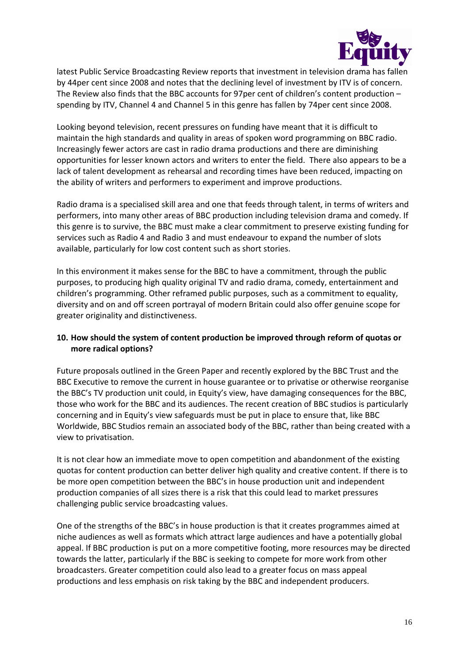

latest Public Service Broadcasting Review reports that investment in television drama has fallen by 44per cent since 2008 and notes that the declining level of investment by ITV is of concern. The Review also finds that the BBC accounts for 97per cent of children's content production – spending by ITV, Channel 4 and Channel 5 in this genre has fallen by 74per cent since 2008.

Looking beyond television, recent pressures on funding have meant that it is difficult to maintain the high standards and quality in areas of spoken word programming on BBC radio. Increasingly fewer actors are cast in radio drama productions and there are diminishing opportunities for lesser known actors and writers to enter the field. There also appears to be a lack of talent development as rehearsal and recording times have been reduced, impacting on the ability of writers and performers to experiment and improve productions.

Radio drama is a specialised skill area and one that feeds through talent, in terms of writers and performers, into many other areas of BBC production including television drama and comedy. If this genre is to survive, the BBC must make a clear commitment to preserve existing funding for services such as Radio 4 and Radio 3 and must endeavour to expand the number of slots available, particularly for low cost content such as short stories.

In this environment it makes sense for the BBC to have a commitment, through the public purposes, to producing high quality original TV and radio drama, comedy, entertainment and children's programming. Other reframed public purposes, such as a commitment to equality, diversity and on and off screen portrayal of modern Britain could also offer genuine scope for greater originality and distinctiveness.

## **10. How should the system of content production be improved through reform of quotas or more radical options?**

Future proposals outlined in the Green Paper and recently explored by the BBC Trust and the BBC Executive to remove the current in house guarantee or to privatise or otherwise reorganise the BBC's TV production unit could, in Equity's view, have damaging consequences for the BBC, those who work for the BBC and its audiences. The recent creation of BBC studios is particularly concerning and in Equity's view safeguards must be put in place to ensure that, like BBC Worldwide, BBC Studios remain an associated body of the BBC, rather than being created with a view to privatisation.

It is not clear how an immediate move to open competition and abandonment of the existing quotas for content production can better deliver high quality and creative content. If there is to be more open competition between the BBC's in house production unit and independent production companies of all sizes there is a risk that this could lead to market pressures challenging public service broadcasting values.

One of the strengths of the BBC's in house production is that it creates programmes aimed at niche audiences as well as formats which attract large audiences and have a potentially global appeal. If BBC production is put on a more competitive footing, more resources may be directed towards the latter, particularly if the BBC is seeking to compete for more work from other broadcasters. Greater competition could also lead to a greater focus on mass appeal productions and less emphasis on risk taking by the BBC and independent producers.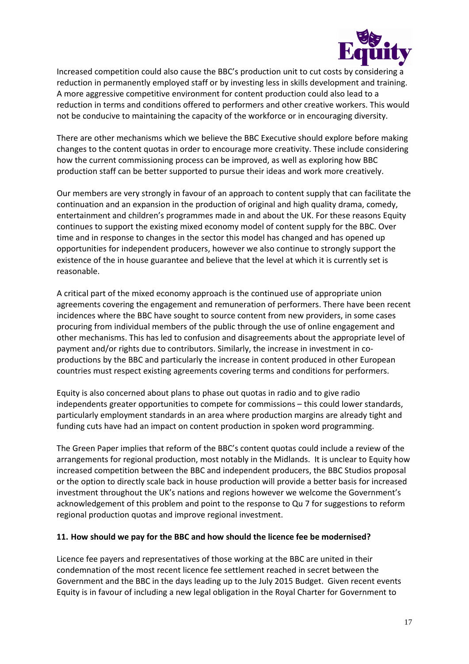

Increased competition could also cause the BBC's production unit to cut costs by considering a reduction in permanently employed staff or by investing less in skills development and training. A more aggressive competitive environment for content production could also lead to a reduction in terms and conditions offered to performers and other creative workers. This would not be conducive to maintaining the capacity of the workforce or in encouraging diversity.

There are other mechanisms which we believe the BBC Executive should explore before making changes to the content quotas in order to encourage more creativity. These include considering how the current commissioning process can be improved, as well as exploring how BBC production staff can be better supported to pursue their ideas and work more creatively.

Our members are very strongly in favour of an approach to content supply that can facilitate the continuation and an expansion in the production of original and high quality drama, comedy, entertainment and children's programmes made in and about the UK. For these reasons Equity continues to support the existing mixed economy model of content supply for the BBC. Over time and in response to changes in the sector this model has changed and has opened up opportunities for independent producers, however we also continue to strongly support the existence of the in house guarantee and believe that the level at which it is currently set is reasonable.

A critical part of the mixed economy approach is the continued use of appropriate union agreements covering the engagement and remuneration of performers. There have been recent incidences where the BBC have sought to source content from new providers, in some cases procuring from individual members of the public through the use of online engagement and other mechanisms. This has led to confusion and disagreements about the appropriate level of payment and/or rights due to contributors. Similarly, the increase in investment in coproductions by the BBC and particularly the increase in content produced in other European countries must respect existing agreements covering terms and conditions for performers.

Equity is also concerned about plans to phase out quotas in radio and to give radio independents greater opportunities to compete for commissions – this could lower standards, particularly employment standards in an area where production margins are already tight and funding cuts have had an impact on content production in spoken word programming.

The Green Paper implies that reform of the BBC's content quotas could include a review of the arrangements for regional production, most notably in the Midlands. It is unclear to Equity how increased competition between the BBC and independent producers, the BBC Studios proposal or the option to directly scale back in house production will provide a better basis for increased investment throughout the UK's nations and regions however we welcome the Government's acknowledgement of this problem and point to the response to Qu 7 for suggestions to reform regional production quotas and improve regional investment.

### **11. How should we pay for the BBC and how should the licence fee be modernised?**

Licence fee payers and representatives of those working at the BBC are united in their condemnation of the most recent licence fee settlement reached in secret between the Government and the BBC in the days leading up to the July 2015 Budget. Given recent events Equity is in favour of including a new legal obligation in the Royal Charter for Government to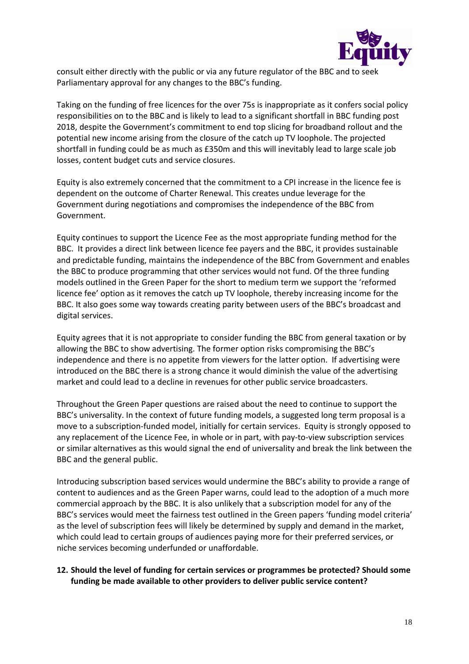

consult either directly with the public or via any future regulator of the BBC and to seek Parliamentary approval for any changes to the BBC's funding.

Taking on the funding of free licences for the over 75s is inappropriate as it confers social policy responsibilities on to the BBC and is likely to lead to a significant shortfall in BBC funding post 2018, despite the Government's commitment to end top slicing for broadband rollout and the potential new income arising from the closure of the catch up TV loophole. The projected shortfall in funding could be as much as £350m and this will inevitably lead to large scale job losses, content budget cuts and service closures.

Equity is also extremely concerned that the commitment to a CPI increase in the licence fee is dependent on the outcome of Charter Renewal. This creates undue leverage for the Government during negotiations and compromises the independence of the BBC from Government.

Equity continues to support the Licence Fee as the most appropriate funding method for the BBC. It provides a direct link between licence fee payers and the BBC, it provides sustainable and predictable funding, maintains the independence of the BBC from Government and enables the BBC to produce programming that other services would not fund. Of the three funding models outlined in the Green Paper for the short to medium term we support the 'reformed licence fee' option as it removes the catch up TV loophole, thereby increasing income for the BBC. It also goes some way towards creating parity between users of the BBC's broadcast and digital services.

Equity agrees that it is not appropriate to consider funding the BBC from general taxation or by allowing the BBC to show advertising. The former option risks compromising the BBC's independence and there is no appetite from viewers for the latter option. If advertising were introduced on the BBC there is a strong chance it would diminish the value of the advertising market and could lead to a decline in revenues for other public service broadcasters.

Throughout the Green Paper questions are raised about the need to continue to support the BBC's universality. In the context of future funding models, a suggested long term proposal is a move to a subscription-funded model, initially for certain services. Equity is strongly opposed to any replacement of the Licence Fee, in whole or in part, with pay-to-view subscription services or similar alternatives as this would signal the end of universality and break the link between the BBC and the general public.

Introducing subscription based services would undermine the BBC's ability to provide a range of content to audiences and as the Green Paper warns, could lead to the adoption of a much more commercial approach by the BBC. It is also unlikely that a subscription model for any of the BBC's services would meet the fairness test outlined in the Green papers 'funding model criteria' as the level of subscription fees will likely be determined by supply and demand in the market, which could lead to certain groups of audiences paying more for their preferred services, or niche services becoming underfunded or unaffordable.

### **12. Should the level of funding for certain services or programmes be protected? Should some funding be made available to other providers to deliver public service content?**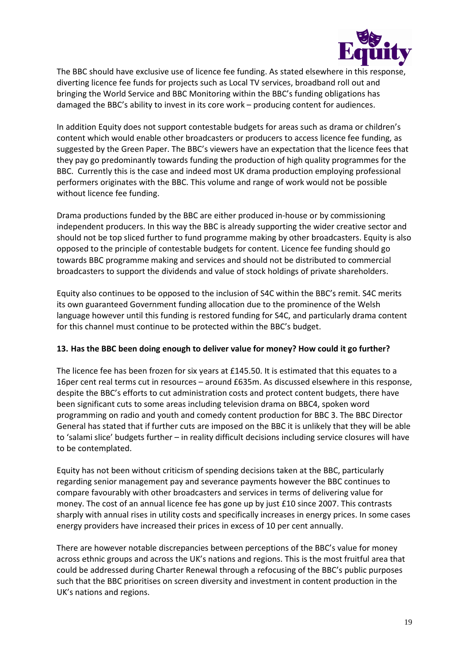

The BBC should have exclusive use of licence fee funding. As stated elsewhere in this response, diverting licence fee funds for projects such as Local TV services, broadband roll out and bringing the World Service and BBC Monitoring within the BBC's funding obligations has damaged the BBC's ability to invest in its core work – producing content for audiences.

In addition Equity does not support contestable budgets for areas such as drama or children's content which would enable other broadcasters or producers to access licence fee funding, as suggested by the Green Paper. The BBC's viewers have an expectation that the licence fees that they pay go predominantly towards funding the production of high quality programmes for the BBC. Currently this is the case and indeed most UK drama production employing professional performers originates with the BBC. This volume and range of work would not be possible without licence fee funding.

Drama productions funded by the BBC are either produced in-house or by commissioning independent producers. In this way the BBC is already supporting the wider creative sector and should not be top sliced further to fund programme making by other broadcasters. Equity is also opposed to the principle of contestable budgets for content. Licence fee funding should go towards BBC programme making and services and should not be distributed to commercial broadcasters to support the dividends and value of stock holdings of private shareholders.

Equity also continues to be opposed to the inclusion of S4C within the BBC's remit. S4C merits its own guaranteed Government funding allocation due to the prominence of the Welsh language however until this funding is restored funding for S4C, and particularly drama content for this channel must continue to be protected within the BBC's budget.

### **13. Has the BBC been doing enough to deliver value for money? How could it go further?**

The licence fee has been frozen for six years at £145.50. It is estimated that this equates to a 16per cent real terms cut in resources – around £635m. As discussed elsewhere in this response, despite the BBC's efforts to cut administration costs and protect content budgets, there have been significant cuts to some areas including television drama on BBC4, spoken word programming on radio and youth and comedy content production for BBC 3. The BBC Director General has stated that if further cuts are imposed on the BBC it is unlikely that they will be able to 'salami slice' budgets further – in reality difficult decisions including service closures will have to be contemplated.

Equity has not been without criticism of spending decisions taken at the BBC, particularly regarding senior management pay and severance payments however the BBC continues to compare favourably with other broadcasters and services in terms of delivering value for money. The cost of an annual licence fee has gone up by just £10 since 2007. This contrasts sharply with annual rises in utility costs and specifically increases in energy prices. In some cases energy providers have increased their prices in excess of 10 per cent annually.

There are however notable discrepancies between perceptions of the BBC's value for money across ethnic groups and across the UK's nations and regions. This is the most fruitful area that could be addressed during Charter Renewal through a refocusing of the BBC's public purposes such that the BBC prioritises on screen diversity and investment in content production in the UK's nations and regions.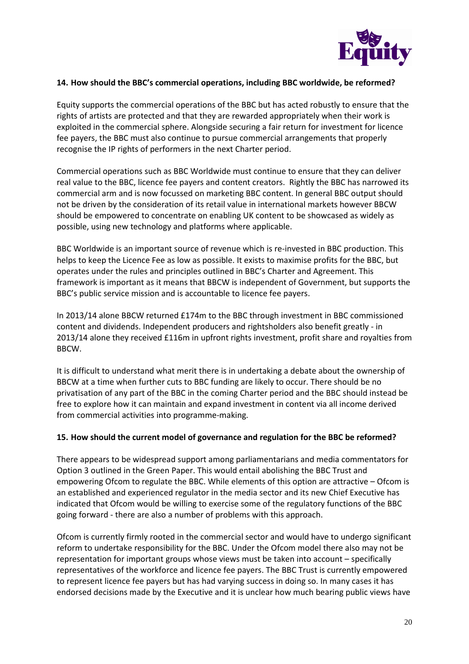

### **14. How should the BBC's commercial operations, including BBC worldwide, be reformed?**

Equity supports the commercial operations of the BBC but has acted robustly to ensure that the rights of artists are protected and that they are rewarded appropriately when their work is exploited in the commercial sphere. Alongside securing a fair return for investment for licence fee payers, the BBC must also continue to pursue commercial arrangements that properly recognise the IP rights of performers in the next Charter period.

Commercial operations such as BBC Worldwide must continue to ensure that they can deliver real value to the BBC, licence fee payers and content creators. Rightly the BBC has narrowed its commercial arm and is now focussed on marketing BBC content. In general BBC output should not be driven by the consideration of its retail value in international markets however BBCW should be empowered to concentrate on enabling UK content to be showcased as widely as possible, using new technology and platforms where applicable.

BBC Worldwide is an important source of revenue which is re-invested in BBC production. This helps to keep the Licence Fee as low as possible. It exists to maximise profits for the BBC, but operates under the rules and principles outlined in BBC's Charter and Agreement. This framework is important as it means that BBCW is independent of Government, but supports the BBC's public service mission and is accountable to licence fee payers.

In 2013/14 alone BBCW returned £174m to the BBC through investment in BBC commissioned content and dividends. Independent producers and rightsholders also benefit greatly - in 2013/14 alone they received £116m in upfront rights investment, profit share and royalties from BBCW.

It is difficult to understand what merit there is in undertaking a debate about the ownership of BBCW at a time when further cuts to BBC funding are likely to occur. There should be no privatisation of any part of the BBC in the coming Charter period and the BBC should instead be free to explore how it can maintain and expand investment in content via all income derived from commercial activities into programme-making.

#### **15. How should the current model of governance and regulation for the BBC be reformed?**

There appears to be widespread support among parliamentarians and media commentators for Option 3 outlined in the Green Paper. This would entail abolishing the BBC Trust and empowering Ofcom to regulate the BBC. While elements of this option are attractive – Ofcom is an established and experienced regulator in the media sector and its new Chief Executive has indicated that Ofcom would be willing to exercise some of the regulatory functions of the BBC going forward - there are also a number of problems with this approach.

Ofcom is currently firmly rooted in the commercial sector and would have to undergo significant reform to undertake responsibility for the BBC. Under the Ofcom model there also may not be representation for important groups whose views must be taken into account – specifically representatives of the workforce and licence fee payers. The BBC Trust is currently empowered to represent licence fee payers but has had varying success in doing so. In many cases it has endorsed decisions made by the Executive and it is unclear how much bearing public views have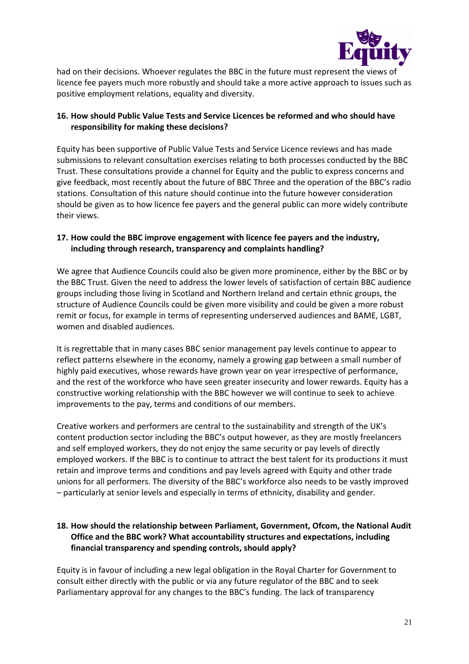

had on their decisions. Whoever regulates the BBC in the future must represent the views of licence fee payers much more robustly and should take a more active approach to issues such as positive employment relations, equality and diversity.

## **16. How should Public Value Tests and Service Licences be reformed and who should have responsibility for making these decisions?**

Equity has been supportive of Public Value Tests and Service Licence reviews and has made submissions to relevant consultation exercises relating to both processes conducted by the BBC Trust. These consultations provide a channel for Equity and the public to express concerns and give feedback, most recently about the future of BBC Three and the operation of the BBC's radio stations. Consultation of this nature should continue into the future however consideration should be given as to how licence fee payers and the general public can more widely contribute their views.

### **17. How could the BBC improve engagement with licence fee payers and the industry, including through research, transparency and complaints handling?**

We agree that Audience Councils could also be given more prominence, either by the BBC or by the BBC Trust. Given the need to address the lower levels of satisfaction of certain BBC audience groups including those living in Scotland and Northern Ireland and certain ethnic groups, the structure of Audience Councils could be given more visibility and could be given a more robust remit or focus, for example in terms of representing underserved audiences and BAME, LGBT, women and disabled audiences.

It is regrettable that in many cases BBC senior management pay levels continue to appear to reflect patterns elsewhere in the economy, namely a growing gap between a small number of highly paid executives, whose rewards have grown year on year irrespective of performance, and the rest of the workforce who have seen greater insecurity and lower rewards. Equity has a constructive working relationship with the BBC however we will continue to seek to achieve improvements to the pay, terms and conditions of our members.

Creative workers and performers are central to the sustainability and strength of the UK's content production sector including the BBC's output however, as they are mostly freelancers and self employed workers, they do not enjoy the same security or pay levels of directly employed workers. If the BBC is to continue to attract the best talent for its productions it must retain and improve terms and conditions and pay levels agreed with Equity and other trade unions for all performers. The diversity of the BBC's workforce also needs to be vastly improved – particularly at senior levels and especially in terms of ethnicity, disability and gender.

## **18. How should the relationship between Parliament, Government, Ofcom, the National Audit Office and the BBC work? What accountability structures and expectations, including financial transparency and spending controls, should apply?**

Equity is in favour of including a new legal obligation in the Royal Charter for Government to consult either directly with the public or via any future regulator of the BBC and to seek Parliamentary approval for any changes to the BBC's funding. The lack of transparency